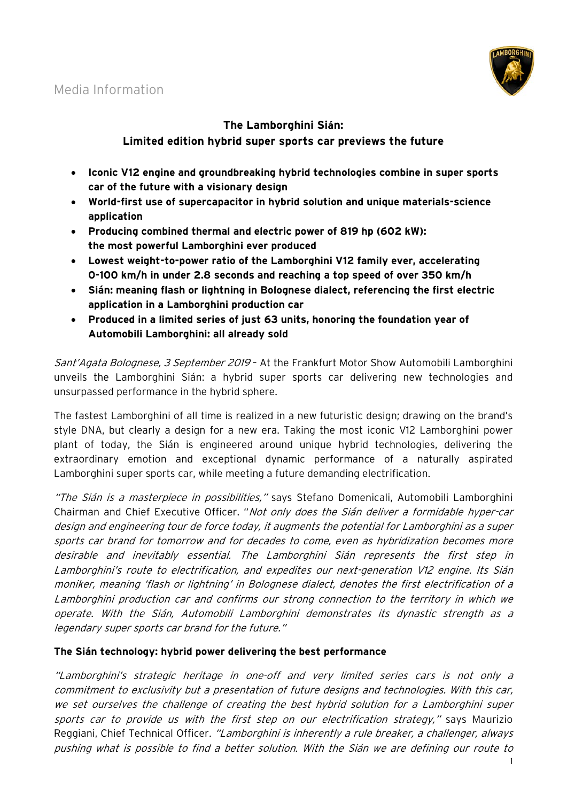

# **The Lamborghini Sián: Limited edition hybrid super sports car previews the future**

- **Iconic V12 engine and groundbreaking hybrid technologies combine in super sports car of the future with a visionary design**
- **World-first use of supercapacitor in hybrid solution and unique materials-science application**
- **Producing combined thermal and electric power of 819 hp (602 kW): the most powerful Lamborghini ever produced**
- **Lowest weight-to-power ratio of the Lamborghini V12 family ever, accelerating 0-100 km/h in under 2.8 seconds and reaching a top speed of over 350 km/h**
- **Sián: meaning flash or lightning in Bolognese dialect, referencing the first electric application in a Lamborghini production car**
- **Produced in a limited series of just 63 units, honoring the foundation year of Automobili Lamborghini: all already sold**

Sant'Agata Bolognese, 3 September 2019 - At the Frankfurt Motor Show Automobili Lamborghini unveils the Lamborghini Sián: a hybrid super sports car delivering new technologies and unsurpassed performance in the hybrid sphere.

The fastest Lamborghini of all time is realized in a new futuristic design; drawing on the brand's style DNA, but clearly a design for a new era. Taking the most iconic V12 Lamborghini power plant of today, the Sián is engineered around unique hybrid technologies, delivering the extraordinary emotion and exceptional dynamic performance of a naturally aspirated Lamborghini super sports car, while meeting a future demanding electrification.

"The Sián is a masterpiece in possibilities," says Stefano Domenicali, Automobili Lamborghini Chairman and Chief Executive Officer. "Not only does the Sián deliver a formidable hyper-car design and engineering tour de force today, it augments the potential for Lamborghini as a super sports car brand for tomorrow and for decades to come, even as hybridization becomes more desirable and inevitably essential. The Lamborghini Sián represents the first step in Lamborghini's route to electrification, and expedites our next-generation V12 engine. Its Sián moniker, meaning 'flash or lightning' in Bolognese dialect, denotes the first electrification of a Lamborghini production car and confirms our strong connection to the territory in which we operate. With the Sián, Automobili Lamborghini demonstrates its dynastic strength as a legendary super sports car brand for the future."

#### **The Sián technology: hybrid power delivering the best performance**

"Lamborghini's strategic heritage in one-off and very limited series cars is not only a commitment to exclusivity but a presentation of future designs and technologies. With this car, we set ourselves the challenge of creating the best hybrid solution for a Lamborghini super sports car to provide us with the first step on our electrification strategy," says Maurizio Reggiani, Chief Technical Officer. "Lamborghini is inherently a rule breaker, a challenger, always pushing what is possible to find a better solution. With the Sián we are defining our route to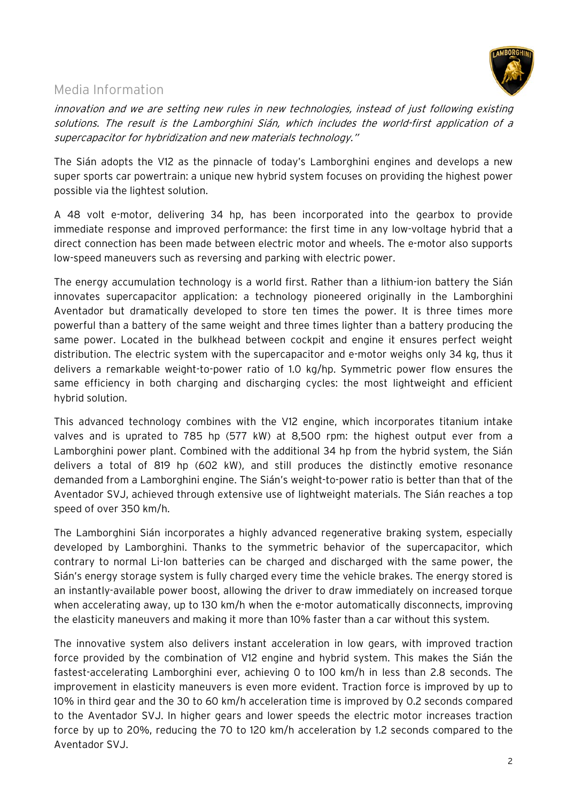

## Media Information

innovation and we are setting new rules in new technologies, instead of just following existing solutions. The result is the Lamborghini Sián, which includes the world-first application of a supercapacitor for hybridization and new materials technology."

The Sián adopts the V12 as the pinnacle of today's Lamborghini engines and develops a new super sports car powertrain: a unique new hybrid system focuses on providing the highest power possible via the lightest solution.

A 48 volt e-motor, delivering 34 hp, has been incorporated into the gearbox to provide immediate response and improved performance: the first time in any low-voltage hybrid that a direct connection has been made between electric motor and wheels. The e-motor also supports low-speed maneuvers such as reversing and parking with electric power.

The energy accumulation technology is a world first. Rather than a lithium-ion battery the Sián innovates supercapacitor application: a technology pioneered originally in the Lamborghini Aventador but dramatically developed to store ten times the power. It is three times more powerful than a battery of the same weight and three times lighter than a battery producing the same power. Located in the bulkhead between cockpit and engine it ensures perfect weight distribution. The electric system with the supercapacitor and e-motor weighs only 34 kg, thus it delivers a remarkable weight-to-power ratio of 1.0 kg/hp. Symmetric power flow ensures the same efficiency in both charging and discharging cycles: the most lightweight and efficient hybrid solution.

This advanced technology combines with the V12 engine, which incorporates titanium intake valves and is uprated to 785 hp (577 kW) at 8,500 rpm: the highest output ever from a Lamborghini power plant. Combined with the additional 34 hp from the hybrid system, the Sián delivers a total of 819 hp (602 kW), and still produces the distinctly emotive resonance demanded from a Lamborghini engine. The Sián's weight-to-power ratio is better than that of the Aventador SVJ, achieved through extensive use of lightweight materials. The Sián reaches a top speed of over 350 km/h.

The Lamborghini Sián incorporates a highly advanced regenerative braking system, especially developed by Lamborghini. Thanks to the symmetric behavior of the supercapacitor, which contrary to normal Li-Ion batteries can be charged and discharged with the same power, the Sián's energy storage system is fully charged every time the vehicle brakes. The energy stored is an instantly-available power boost, allowing the driver to draw immediately on increased torque when accelerating away, up to 130 km/h when the e-motor automatically disconnects, improving the elasticity maneuvers and making it more than 10% faster than a car without this system.

The innovative system also delivers instant acceleration in low gears, with improved traction force provided by the combination of V12 engine and hybrid system. This makes the Sián the fastest-accelerating Lamborghini ever, achieving 0 to 100 km/h in less than 2.8 seconds. The improvement in elasticity maneuvers is even more evident. Traction force is improved by up to 10% in third gear and the 30 to 60 km/h acceleration time is improved by 0.2 seconds compared to the Aventador SVJ. In higher gears and lower speeds the electric motor increases traction force by up to 20%, reducing the 70 to 120 km/h acceleration by 1.2 seconds compared to the Aventador SVJ.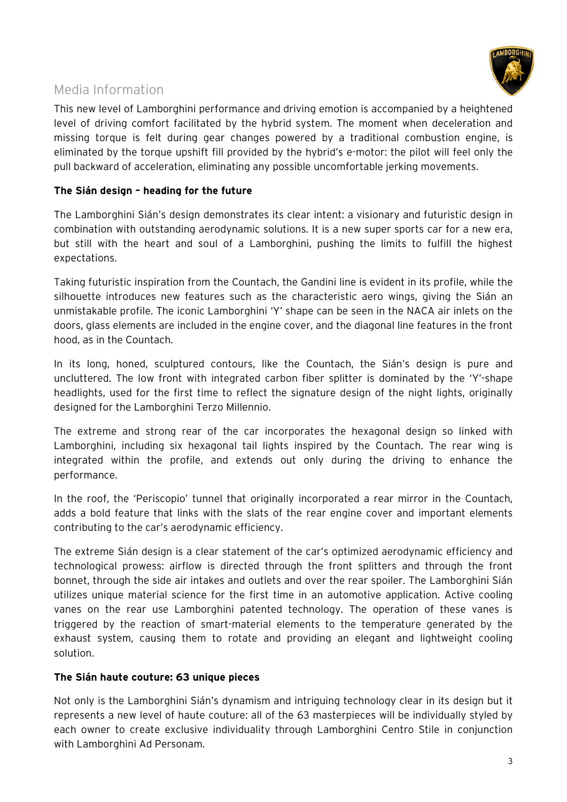

## Media Information

This new level of Lamborghini performance and driving emotion is accompanied by a heightened level of driving comfort facilitated by the hybrid system. The moment when deceleration and missing torque is felt during gear changes powered by a traditional combustion engine, is eliminated by the torque upshift fill provided by the hybrid's e-motor: the pilot will feel only the pull backward of acceleration, eliminating any possible uncomfortable jerking movements.

#### **The Sián design – heading for the future**

The Lamborghini Sián's design demonstrates its clear intent: a visionary and futuristic design in combination with outstanding aerodynamic solutions. It is a new super sports car for a new era, but still with the heart and soul of a Lamborghini, pushing the limits to fulfill the highest expectations.

Taking futuristic inspiration from the Countach, the Gandini line is evident in its profile, while the silhouette introduces new features such as the characteristic aero wings, giving the Sián an unmistakable profile. The iconic Lamborghini 'Y' shape can be seen in the NACA air inlets on the doors, glass elements are included in the engine cover, and the diagonal line features in the front hood, as in the Countach.

In its long, honed, sculptured contours, like the Countach, the Sián's design is pure and uncluttered. The low front with integrated carbon fiber splitter is dominated by the 'Y'-shape headlights, used for the first time to reflect the signature design of the night lights, originally designed for the Lamborghini Terzo Millennio.

The extreme and strong rear of the car incorporates the hexagonal design so linked with Lamborghini, including six hexagonal tail lights inspired by the Countach. The rear wing is integrated within the profile, and extends out only during the driving to enhance the performance.

In the roof, the 'Periscopio' tunnel that originally incorporated a rear mirror in the Countach, adds a bold feature that links with the slats of the rear engine cover and important elements contributing to the car's aerodynamic efficiency.

The extreme Sián design is a clear statement of the car's optimized aerodynamic efficiency and technological prowess: airflow is directed through the front splitters and through the front bonnet, through the side air intakes and outlets and over the rear spoiler. The Lamborghini Sián utilizes unique material science for the first time in an automotive application. Active cooling vanes on the rear use Lamborghini patented technology. The operation of these vanes is triggered by the reaction of smart-material elements to the temperature generated by the exhaust system, causing them to rotate and providing an elegant and lightweight cooling solution.

#### **The Sián haute couture: 63 unique pieces**

Not only is the Lamborghini Sián's dynamism and intriguing technology clear in its design but it represents a new level of haute couture: all of the 63 masterpieces will be individually styled by each owner to create exclusive individuality through Lamborghini Centro Stile in conjunction with Lamborghini Ad Personam.